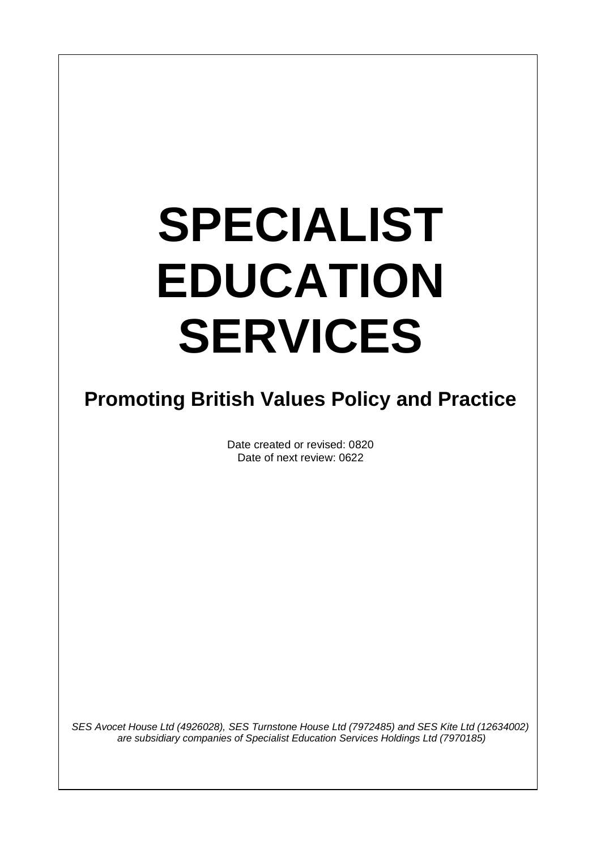# **SPECIALIST EDUCATION SERVICES**

 $\overline{\phantom{a}}$ 

# **Promoting British Values Policy and Practice**

Date created or revised: 0820 Date of next review: 0622

*SES Avocet House Ltd (4926028), SES Turnstone House Ltd (7972485) and SES Kite Ltd (12634002) are subsidiary companies of Specialist Education Services Holdings Ltd (7970185)*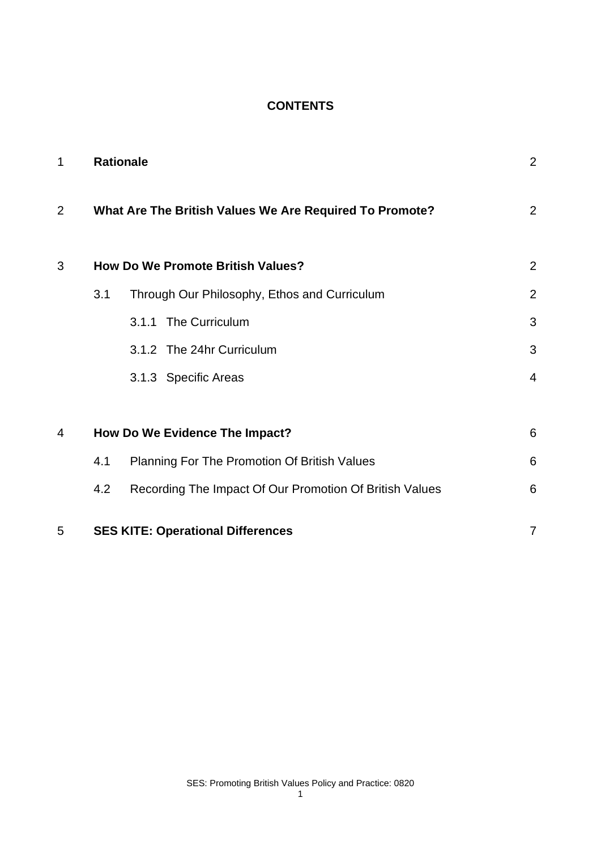#### **CONTENTS**

| $\mathbf 1$    |                                | <b>Rationale</b>                                        | $\overline{2}$ |
|----------------|--------------------------------|---------------------------------------------------------|----------------|
| $\overline{2}$ |                                | What Are The British Values We Are Required To Promote? | $\overline{2}$ |
| 3              |                                | <b>How Do We Promote British Values?</b>                | $\overline{2}$ |
|                | 3.1                            | Through Our Philosophy, Ethos and Curriculum            | $\overline{2}$ |
|                |                                | 3.1.1 The Curriculum                                    | 3              |
|                |                                | 3.1.2 The 24hr Curriculum                               | 3              |
|                |                                | 3.1.3 Specific Areas                                    | $\overline{4}$ |
|                |                                |                                                         |                |
| 4              | How Do We Evidence The Impact? |                                                         | 6              |
|                | 4.1                            | Planning For The Promotion Of British Values            | 6              |
|                | 4.2                            | Recording The Impact Of Our Promotion Of British Values | 6              |
| 5              |                                | <b>SES KITE: Operational Differences</b>                | $\overline{7}$ |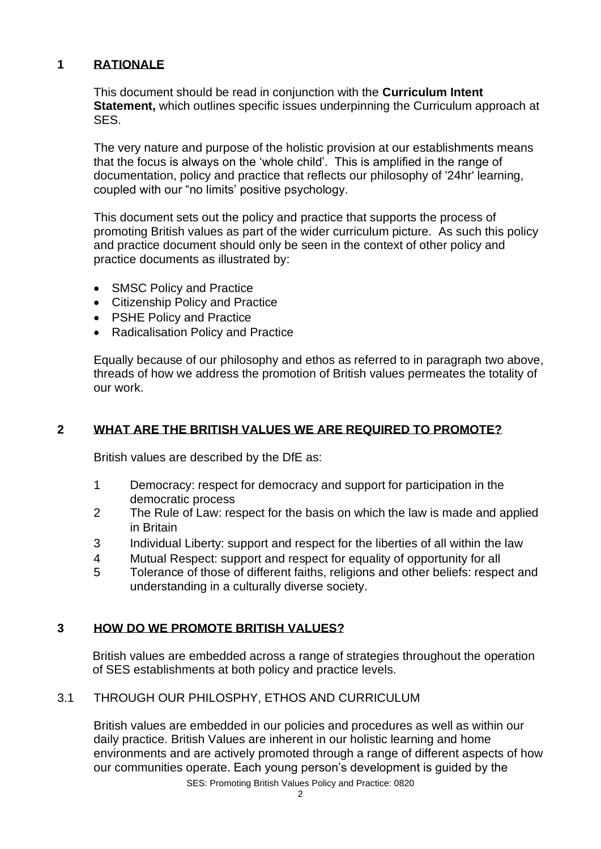### **1 RATIONALE**

This document should be read in conjunction with the **Curriculum Intent Statement,** which outlines specific issues underpinning the Curriculum approach at SES.

The very nature and purpose of the holistic provision at our establishments means that the focus is always on the 'whole child'. This is amplified in the range of documentation, policy and practice that reflects our philosophy of '24hr' learning, coupled with our "no limits' positive psychology.

This document sets out the policy and practice that supports the process of promoting British values as part of the wider curriculum picture. As such this policy and practice document should only be seen in the context of other policy and practice documents as illustrated by:

- SMSC Policy and Practice
- Citizenship Policy and Practice
- PSHE Policy and Practice
- Radicalisation Policy and Practice

Equally because of our philosophy and ethos as referred to in paragraph two above, threads of how we address the promotion of British values permeates the totality of our work.

# **2 WHAT ARE THE BRITISH VALUES WE ARE REQUIRED TO PROMOTE?**

British values are described by the DfE as:

- 1 Democracy: respect for democracy and support for participation in the democratic process
- 2 The Rule of Law: respect for the basis on which the law is made and applied in Britain
- 3 Individual Liberty: support and respect for the liberties of all within the law
- 4 Mutual Respect: support and respect for equality of opportunity for all
- 5 Tolerance of those of different faiths, religions and other beliefs: respect and understanding in a culturally diverse society.

# **3 HOW DO WE PROMOTE BRITISH VALUES?**

British values are embedded across a range of strategies throughout the operation of SES establishments at both policy and practice levels.

# 3.1 THROUGH OUR PHILOSPHY, ETHOS AND CURRICULUM

British values are embedded in our policies and procedures as well as within our daily practice. British Values are inherent in our holistic learning and home environments and are actively promoted through a range of different aspects of how our communities operate. Each young person's development is guided by the

SES: Promoting British Values Policy and Practice: 0820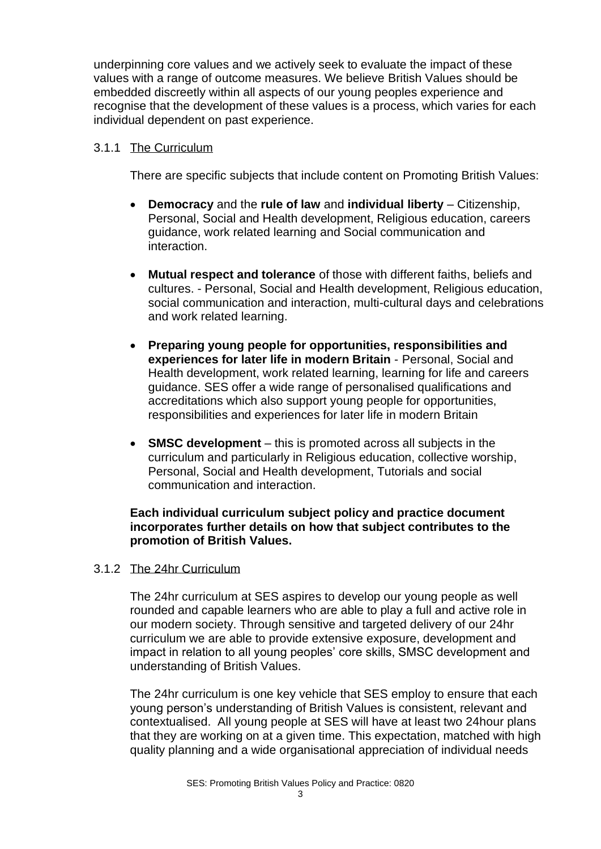underpinning core values and we actively seek to evaluate the impact of these values with a range of outcome measures. We believe British Values should be embedded discreetly within all aspects of our young peoples experience and recognise that the development of these values is a process, which varies for each individual dependent on past experience.

#### 3.1.1 The Curriculum

There are specific subjects that include content on Promoting British Values:

- **Democracy** and the **rule of law** and **individual liberty** Citizenship, Personal, Social and Health development, Religious education, careers guidance, work related learning and Social communication and interaction.
- **Mutual respect and tolerance** of those with different faiths, beliefs and cultures. - Personal, Social and Health development, Religious education, social communication and interaction, multi-cultural days and celebrations and work related learning.
- **Preparing young people for opportunities, responsibilities and experiences for later life in modern Britain** - Personal, Social and Health development, work related learning, learning for life and careers guidance. SES offer a wide range of personalised qualifications and accreditations which also support young people for opportunities, responsibilities and experiences for later life in modern Britain
- **SMSC development**  this is promoted across all subjects in the curriculum and particularly in Religious education, collective worship, Personal, Social and Health development, Tutorials and social communication and interaction.

#### **Each individual curriculum subject policy and practice document incorporates further details on how that subject contributes to the promotion of British Values.**

#### 3.1.2 The 24hr Curriculum

The 24hr curriculum at SES aspires to develop our young people as well rounded and capable learners who are able to play a full and active role in our modern society. Through sensitive and targeted delivery of our 24hr curriculum we are able to provide extensive exposure, development and impact in relation to all young peoples' core skills, SMSC development and understanding of British Values.

The 24hr curriculum is one key vehicle that SES employ to ensure that each young person's understanding of British Values is consistent, relevant and contextualised. All young people at SES will have at least two 24hour plans that they are working on at a given time. This expectation, matched with high quality planning and a wide organisational appreciation of individual needs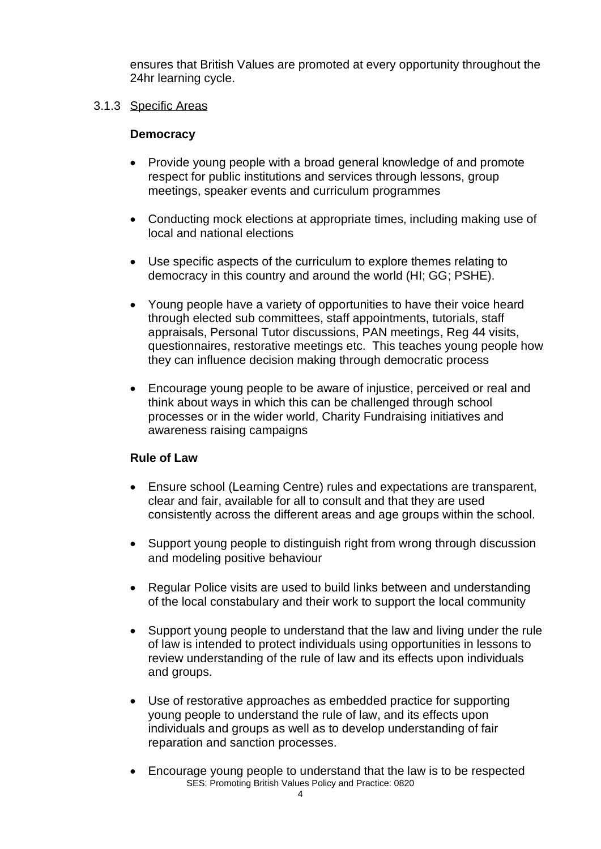ensures that British Values are promoted at every opportunity throughout the 24hr learning cycle.

#### 3.1.3 Specific Areas

#### **Democracy**

- Provide young people with a broad general knowledge of and promote respect for public institutions and services through lessons, group meetings, speaker events and curriculum programmes
- Conducting mock elections at appropriate times, including making use of local and national elections
- Use specific aspects of the curriculum to explore themes relating to democracy in this country and around the world (HI; GG; PSHE).
- Young people have a variety of opportunities to have their voice heard through elected sub committees, staff appointments, tutorials, staff appraisals, Personal Tutor discussions, PAN meetings, Reg 44 visits, questionnaires, restorative meetings etc. This teaches young people how they can influence decision making through democratic process
- Encourage young people to be aware of injustice, perceived or real and think about ways in which this can be challenged through school processes or in the wider world, Charity Fundraising initiatives and awareness raising campaigns

# **Rule of Law**

- Ensure school (Learning Centre) rules and expectations are transparent, clear and fair, available for all to consult and that they are used consistently across the different areas and age groups within the school.
- Support young people to distinguish right from wrong through discussion and modeling positive behaviour
- Regular Police visits are used to build links between and understanding of the local constabulary and their work to support the local community
- Support young people to understand that the law and living under the rule of law is intended to protect individuals using opportunities in lessons to review understanding of the rule of law and its effects upon individuals and groups.
- Use of restorative approaches as embedded practice for supporting young people to understand the rule of law, and its effects upon individuals and groups as well as to develop understanding of fair reparation and sanction processes.
- SES: Promoting British Values Policy and Practice: 0820 • Encourage young people to understand that the law is to be respected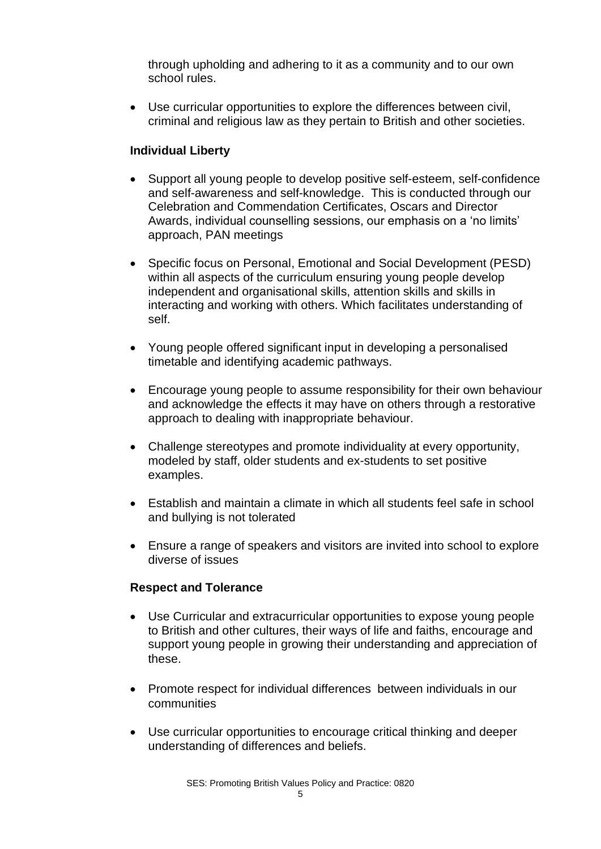through upholding and adhering to it as a community and to our own school rules.

• Use curricular opportunities to explore the differences between civil, criminal and religious law as they pertain to British and other societies.

### **Individual Liberty**

- Support all young people to develop positive self-esteem, self-confidence and self-awareness and self-knowledge. This is conducted through our Celebration and Commendation Certificates, Oscars and Director Awards, individual counselling sessions, our emphasis on a 'no limits' approach, PAN meetings
- Specific focus on Personal, Emotional and Social Development (PESD) within all aspects of the curriculum ensuring young people develop independent and organisational skills, attention skills and skills in interacting and working with others. Which facilitates understanding of self.
- Young people offered significant input in developing a personalised timetable and identifying academic pathways.
- Encourage young people to assume responsibility for their own behaviour and acknowledge the effects it may have on others through a restorative approach to dealing with inappropriate behaviour.
- Challenge stereotypes and promote individuality at every opportunity, modeled by staff, older students and ex-students to set positive examples.
- Establish and maintain a climate in which all students feel safe in school and bullying is not tolerated
- Ensure a range of speakers and visitors are invited into school to explore diverse of issues

#### **Respect and Tolerance**

- Use Curricular and extracurricular opportunities to expose young people to British and other cultures, their ways of life and faiths, encourage and support young people in growing their understanding and appreciation of these.
- Promote respect for individual differences between individuals in our communities
- Use curricular opportunities to encourage critical thinking and deeper understanding of differences and beliefs.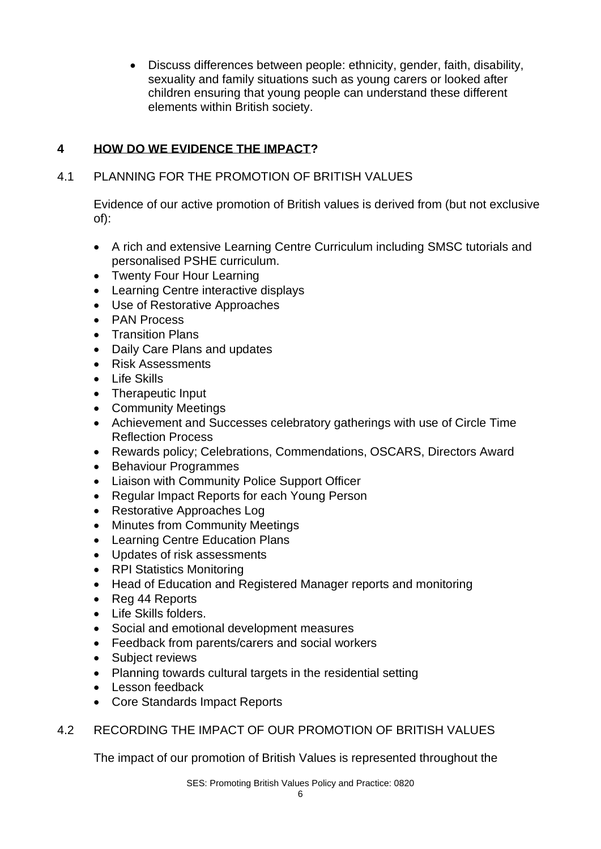• Discuss differences between people: ethnicity, gender, faith, disability, sexuality and family situations such as young carers or looked after children ensuring that young people can understand these different elements within British society.

# **4 HOW DO WE EVIDENCE THE IMPACT?**

# 4.1 PLANNING FOR THE PROMOTION OF BRITISH VALUES

Evidence of our active promotion of British values is derived from (but not exclusive of):

- A rich and extensive Learning Centre Curriculum including SMSC tutorials and personalised PSHE curriculum.
- Twenty Four Hour Learning
- Learning Centre interactive displays
- Use of Restorative Approaches
- PAN Process
- Transition Plans
- Daily Care Plans and updates
- Risk Assessments
- Life Skills
- Therapeutic Input
- Community Meetings
- Achievement and Successes celebratory gatherings with use of Circle Time Reflection Process
- Rewards policy; Celebrations, Commendations, OSCARS, Directors Award
- Behaviour Programmes
- Liaison with Community Police Support Officer
- Regular Impact Reports for each Young Person
- Restorative Approaches Log
- Minutes from Community Meetings
- Learning Centre Education Plans
- Updates of risk assessments
- RPI Statistics Monitoring
- Head of Education and Registered Manager reports and monitoring
- Reg 44 Reports
- Life Skills folders.
- Social and emotional development measures
- Feedback from parents/carers and social workers
- Subject reviews
- Planning towards cultural targets in the residential setting
- Lesson feedback
- Core Standards Impact Reports
- 4.2 RECORDING THE IMPACT OF OUR PROMOTION OF BRITISH VALUES

The impact of our promotion of British Values is represented throughout the